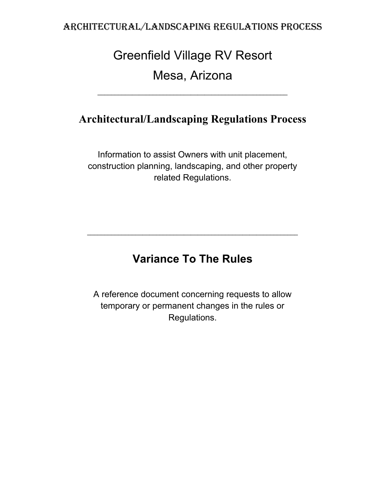# Greenfield Village RV Resort Mesa, Arizona

## **Architectural/Landscaping Regulations Process**

Information to assist Owners with unit placement, construction planning, landscaping, and other property related Regulations.

# **Variance To The Rules**

 $\_$  , and the set of the set of the set of the set of the set of the set of the set of the set of the set of the set of the set of the set of the set of the set of the set of the set of the set of the set of the set of th

A reference document concerning requests to allow temporary or permanent changes in the rules or Regulations.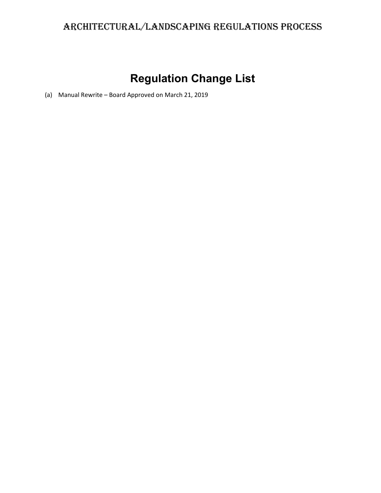# **Regulation Change List**

(a) Manual Rewrite – Board Approved on March 21, 2019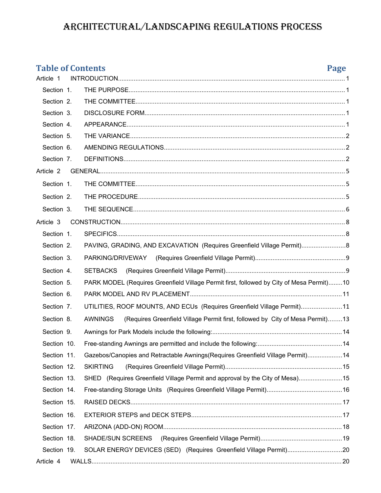### **Table of Contents Page** Article 1 [INTRODUCTION..................................................................................................................................1](#page-4-4) Section 1. [THE PURPOSE............................................................................................................................1](#page-4-3) Section 2. [THE COMMITTEE........................................................................................................................1](#page-4-2) Section 3. [DISCLOSURE FORM...................................................................................................................1](#page-4-1) Section 4. [APPEARANCE.............................................................................................................................1](#page-4-0) Section 5. [THE VARIANCE...........................................................................................................................2](#page-5-2) Section 6. [AMENDING REGULATIONS........................................................................................................2](#page-5-1) Section 7. [DEFINITIONS...............................................................................................................................2](#page-5-0) Article 2 [GENERAL.............................................................................................................................................](#page-8-2) 5 Section 1. [THE COMMITTEE........................................................................................................................](#page-8-1)5 Section 2. [THE PROCEDURE.......................................................................................................................](#page-8-0)5 Section 3. [THE SEQUENCE..........................................................................................................................](#page-9-0)6 Article 3 [CONSTRUCTION.................................................................................................................................](#page-11-2) 8 Section 1. [SPECIFICS...................................................................................................................................](#page-11-1)8 Section 2. [PAVING, GRADING, AND EXCAVATION \(Requires Greenfield Village Permit\).........................](#page-11-0)...... Section 3. [PARKING/DRIVEWAY \(Requires Greenfield Village Permit\)....................................................](#page-12-1)9 Section 4. [SETBACKS \(Requires Greenfield Village Permit\).....................................................................](#page-12-0)9 Section 5. [PARK MODEL \(Requires Greenfield Village Permit first, followed by City of Mesa Permit\)........1](#page-13-0)0 Section 6. [PARK MODEL AND RV PLACEMENT.......................................................................................1](#page-14-1)1 Section 7. [UTILITIES, ROOF MOUNTS, AND ECUs \(Requires Greenfield Village Permit\).......................1](#page-14-0)1 Section 8. [AWNINGS \(Requires Greenfield Village Permit first, followed by City of Mesa Permit\)........1](#page-16-0)3 Section 9. [Awnings for Park Models include the following:..........................................................................1](#page-17-2)4 Section 10. [Free-standing Awnings are permitted and include the following:................................................1](#page-17-1)4 Section 11. [Gazebos/Canopies and Retractable Awnings\(Requires Greenfield Village Permit\)....................1](#page-17-0)4 Section 12. [SKIRTING \(Requires Greenfield Village Permit\)...................................................................1](#page-18-1)5 Section 13. SHED (Requires Greenfield Village Permit and approval by the City of Mesa)......................15 Section 14. [Free-standing Storage Units \(Requires Greenfield Village Permit\)...........................................1](#page-19-0)6 Section 15. [RAISED DECKS.........................................................................................................................1](#page-20-1)7 Section 16. [EXTERIOR STEPS and DECK STEPS......................................................................................1](#page-20-0)7 Section 17. [ARIZONA \(ADD-ON\) ROOM......................................................................................................1](#page-21-0)8 Section 18. [SHADE/SUN SCREENS \(Requires Greenfield Village Permit\)...............................................1](#page-22-0)9 Section 19. [SOLAR ENERGY DEVICES \(SED\) \(Requires Greenfield Village Permit\)...............................2](#page-23-1)0 Article 4 [WALLS................................................................................................................................................2](#page-23-0)0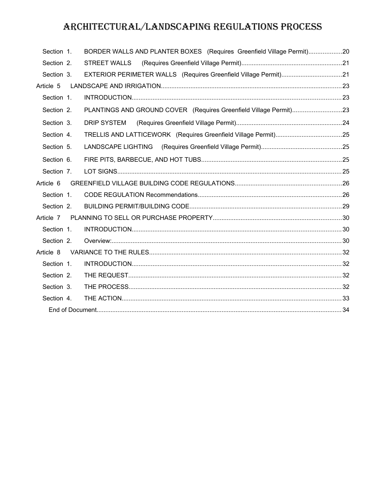| Section 1. |  | BORDER WALLS AND PLANTER BOXES (Requires Greenfield Village Permit)20 |  |
|------------|--|-----------------------------------------------------------------------|--|
| Section 2. |  | STREET WALLS                                                          |  |
| Section 3. |  | EXTERIOR PERIMETER WALLS (Requires Greenfield Village Permit)21       |  |
| Article 5  |  |                                                                       |  |
| Section 1. |  |                                                                       |  |
| Section 2. |  | PLANTINGS AND GROUND COVER (Requires Greenfield Village Permit)23     |  |
| Section 3. |  |                                                                       |  |
| Section 4. |  |                                                                       |  |
| Section 5. |  |                                                                       |  |
| Section 6. |  |                                                                       |  |
| Section 7. |  |                                                                       |  |
| Article 6  |  |                                                                       |  |
| Section 1. |  |                                                                       |  |
| Section 2. |  |                                                                       |  |
| Article 7  |  |                                                                       |  |
| Section 1. |  |                                                                       |  |
| Section 2. |  |                                                                       |  |
| Article 8  |  |                                                                       |  |
| Section 1. |  |                                                                       |  |
| Section 2. |  |                                                                       |  |
| Section 3. |  |                                                                       |  |
| Section 4. |  |                                                                       |  |
|            |  |                                                                       |  |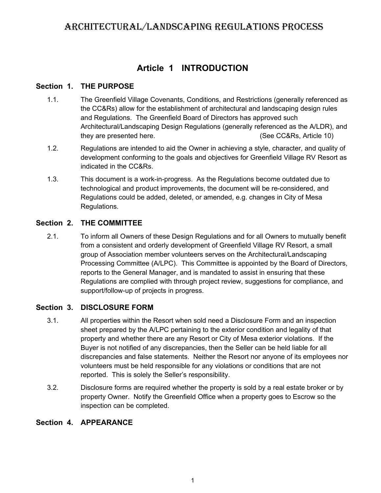### <span id="page-4-4"></span>**Article 1 INTRODUCTION**

#### **Section 1. THE PURPOSE**

- <span id="page-4-3"></span>1.1. The Greenfield Village Covenants, Conditions, and Restrictions (generally referenced as the CC&Rs) allow for the establishment of architectural and landscaping design rules and Regulations. The Greenfield Board of Directors has approved such Architectural/Landscaping Design Regulations (generally referenced as the A/LDR), and they are presented here. (See CC&Rs, Article 10)
- 1.2. Regulations are intended to aid the Owner in achieving a style, character, and quality of development conforming to the goals and objectives for Greenfield Village RV Resort as indicated in the CC&Rs.
- 1.3. This document is a work-in-progress. As the Regulations become outdated due to technological and product improvements, the document will be re-considered, and Regulations could be added, deleted, or amended, e.g. changes in City of Mesa Regulations.

#### **Section 2. THE COMMITTEE**

<span id="page-4-2"></span>2.1. To inform all Owners of these Design Regulations and for all Owners to mutually benefit from a consistent and orderly development of Greenfield Village RV Resort, a small group of Association member volunteers serves on the Architectural/Landscaping Processing Committee (A/LPC). This Committee is appointed by the Board of Directors, reports to the General Manager, and is mandated to assist in ensuring that these Regulations are complied with through project review, suggestions for compliance, and support/follow-up of projects in progress.

### **Section 3. DISCLOSURE FORM**

- <span id="page-4-1"></span>3.1. All properties within the Resort when sold need a Disclosure Form and an inspection sheet prepared by the A/LPC pertaining to the exterior condition and legality of that property and whether there are any Resort or City of Mesa exterior violations. If the Buyer is not notified of any discrepancies, then the Seller can be held liable for all discrepancies and false statements. Neither the Resort nor anyone of its employees nor volunteers must be held responsible for any violations or conditions that are not reported. This is solely the Seller's responsibility.
- 3.2. Disclosure forms are required whether the property is sold by a real estate broker or by property Owner. Notify the Greenfield Office when a property goes to Escrow so the inspection can be completed.

#### <span id="page-4-0"></span>**Section 4. APPEARANCE**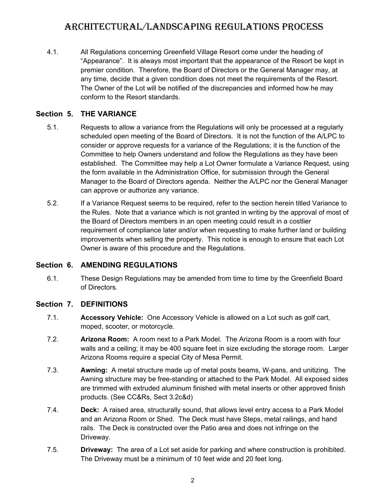4.1. All Regulations concerning Greenfield Village Resort come under the heading of "Appearance". It is always most important that the appearance of the Resort be kept in premier condition. Therefore, the Board of Directors or the General Manager may, at any time, decide that a given condition does not meet the requirements of the Resort. The Owner of the Lot will be notified of the discrepancies and informed how he may conform to the Resort standards.

#### **Section 5. THE VARIANCE**

- <span id="page-5-2"></span>5.1. Requests to allow a variance from the Regulations will only be processed at a regularly scheduled open meeting of the Board of Directors. It is not the function of the A/LPC to consider or approve requests for a variance of the Regulations; it is the function of the Committee to help Owners understand and follow the Regulations as they have been established. The Committee may help a Lot Owner formulate a Variance Request, using the form available in the Administration Office, for submission through the General Manager to the Board of Directors agenda. Neither the A/LPC nor the General Manager can approve or authorize any variance.
- 5.2. If a Variance Request seems to be required, refer to the section herein titled Variance to the Rules. Note that a variance which is not granted in writing by the approval of most of the Board of Directors members in an open meeting could result in a costlier requirement of compliance later and/or when requesting to make further land or building improvements when selling the property. This notice is enough to ensure that each Lot Owner is aware of this procedure and the Regulations.

#### **Section 6. AMENDING REGULATIONS**

<span id="page-5-1"></span>6.1. These Design Regulations may be amended from time to time by the Greenfield Board of Directors.

#### **Section 7. DEFINITIONS**

- <span id="page-5-0"></span>7.1. **Accessory Vehicle:** One Accessory Vehicle is allowed on a Lot such as golf cart, moped, scooter, or motorcycle.
- 7.2. **Arizona Room:** A room next to a Park Model. The Arizona Room is a room with four walls and a ceiling; it may be 400 square feet in size excluding the storage room. Larger Arizona Rooms require a special City of Mesa Permit.
- 7.3. **Awning:** A metal structure made up of metal posts beams, W-pans, and unitizing. The Awning structure may be free-standing or attached to the Park Model. All exposed sides are trimmed with extruded aluminum finished with metal inserts or other approved finish products. (See CC&Rs, Sect 3.2c&d)
- 7.4. **Deck:** A raised area, structurally sound, that allows level entry access to a Park Model and an Arizona Room or Shed. The Deck must have Steps, metal railings, and hand rails. The Deck is constructed over the Patio area and does not infringe on the Driveway.
- 7.5. **Driveway:** The area of a Lot set aside for parking and where construction is prohibited. The Driveway must be a minimum of 10 feet wide and 20 feet long.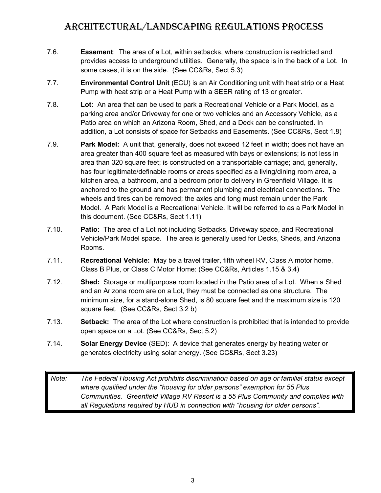- 7.6. **Easement**: The area of a Lot, within setbacks, where construction is restricted and provides access to underground utilities. Generally, the space is in the back of a Lot. In some cases, it is on the side. (See CC&Rs, Sect 5.3)
- 7.7. **Environmental Control Unit** (ECU) is an Air Conditioning unit with heat strip or a Heat Pump with heat strip or a Heat Pump with a SEER rating of 13 or greater.
- 7.8. **Lot:** An area that can be used to park a Recreational Vehicle or a Park Model, as a parking area and/or Driveway for one or two vehicles and an Accessory Vehicle, as a Patio area on which an Arizona Room, Shed, and a Deck can be constructed. In addition, a Lot consists of space for Setbacks and Easements. (See CC&Rs, Sect 1.8)
- 7.9. **Park Model:** A unit that, generally, does not exceed 12 feet in width; does not have an area greater than 400 square feet as measured with bays or extensions; is not less in area than 320 square feet; is constructed on a transportable carriage; and, generally, has four legitimate/definable rooms or areas specified as a living/dining room area, a kitchen area, a bathroom, and a bedroom prior to delivery in Greenfield Village. It is anchored to the ground and has permanent plumbing and electrical connections. The wheels and tires can be removed; the axles and tong must remain under the Park Model. A Park Model is a Recreational Vehicle. It will be referred to as a Park Model in this document. (See CC&Rs, Sect 1.11)
- 7.10. **Patio:** The area of a Lot not including Setbacks, Driveway space, and Recreational Vehicle/Park Model space. The area is generally used for Decks, Sheds, and Arizona Rooms.
- 7.11. **Recreational Vehicle:** May be a travel trailer, fifth wheel RV, Class A motor home, Class B Plus, or Class C Motor Home: (See CC&Rs, Articles 1.15 & 3.4)
- 7.12. **Shed:** Storage or multipurpose room located in the Patio area of a Lot. When a Shed and an Arizona room are on a Lot, they must be connected as one structure. The minimum size, for a stand-alone Shed, is 80 square feet and the maximum size is 120 square feet. (See CC&Rs, Sect 3.2 b)
- 7.13. **Setback:** The area of the Lot where construction is prohibited that is intended to provide open space on a Lot. (See CC&Rs, Sect 5.2)
- 7.14. **Solar Energy Device** (SED): A device that generates energy by heating water or generates electricity using solar energy. (See CC&Rs, Sect 3.23)

*Note: The Federal Housing Act prohibits discrimination based on age or familial status except where qualified under the "housing for older persons" exemption for 55 Plus Communities. Greenfield Village RV Resort is a 55 Plus Community and complies with all Regulations required by HUD in connection with "housing for older persons".*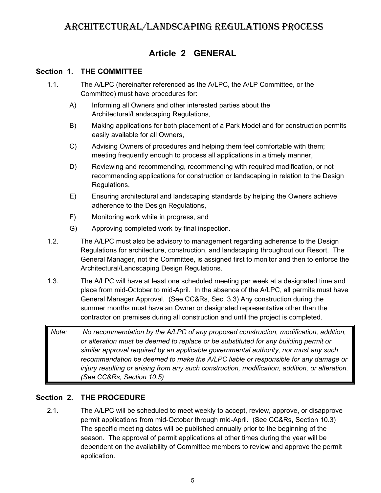### <span id="page-8-2"></span>**Article 2 GENERAL**

### **Section 1. THE COMMITTEE**

- <span id="page-8-1"></span>1.1. The A/LPC (hereinafter referenced as the A/LPC, the A/LP Committee, or the Committee) must have procedures for:
	- A) Informing all Owners and other interested parties about the Architectural/Landscaping Regulations,
	- B) Making applications for both placement of a Park Model and for construction permits easily available for all Owners,
	- C) Advising Owners of procedures and helping them feel comfortable with them; meeting frequently enough to process all applications in a timely manner,
	- D) Reviewing and recommending, recommending with required modification, or not recommending applications for construction or landscaping in relation to the Design Regulations,
	- E) Ensuring architectural and landscaping standards by helping the Owners achieve adherence to the Design Regulations,
	- F) Monitoring work while in progress, and
	- G) Approving completed work by final inspection.
- 1.2. The A/LPC must also be advisory to management regarding adherence to the Design Regulations for architecture, construction, and landscaping throughout our Resort. The General Manager, not the Committee, is assigned first to monitor and then to enforce the Architectural/Landscaping Design Regulations.
- 1.3. The A/LPC will have at least one scheduled meeting per week at a designated time and place from mid-October to mid-April. In the absence of the A/LPC, all permits must have General Manager Approval. (See CC&Rs, Sec. 3.3) Any construction during the summer months must have an Owner or designated representative other than the contractor on premises during all construction and until the project is completed.
- *Note: No recommendation by the A/LPC of any proposed construction, modification, addition, or alteration must be deemed to replace or be substituted for any building permit or similar approval required by an applicable governmental authority, nor must any such recommendation be deemed to make the A/LPC liable or responsible for any damage or injury resulting or arising from any such construction, modification, addition, or alteration. (See CC&Rs, Section 10.5)*

### **Section 2. THE PROCEDURE**

<span id="page-8-0"></span>2.1. The A/LPC will be scheduled to meet weekly to accept, review, approve, or disapprove permit applications from mid-October through mid-April. (See CC&Rs, Section 10.3) The specific meeting dates will be published annually prior to the beginning of the season. The approval of permit applications at other times during the year will be dependent on the availability of Committee members to review and approve the permit application.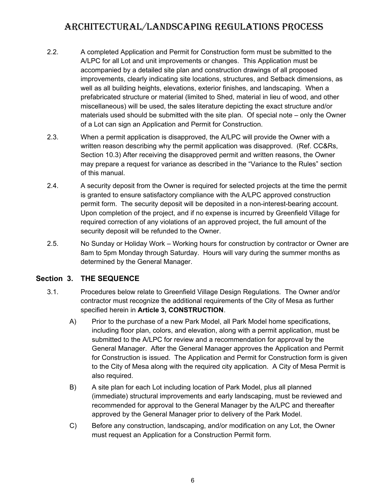- 2.2. A completed Application and Permit for Construction form must be submitted to the A/LPC for all Lot and unit improvements or changes. This Application must be accompanied by a detailed site plan and construction drawings of all proposed improvements, clearly indicating site locations, structures, and Setback dimensions, as well as all building heights, elevations, exterior finishes, and landscaping. When a prefabricated structure or material (limited to Shed, material in lieu of wood, and other miscellaneous) will be used, the sales literature depicting the exact structure and/or materials used should be submitted with the site plan. Of special note – only the Owner of a Lot can sign an Application and Permit for Construction.
- 2.3. When a permit application is disapproved, the A/LPC will provide the Owner with a written reason describing why the permit application was disapproved. (Ref. CC&Rs, Section 10.3) After receiving the disapproved permit and written reasons, the Owner may prepare a request for variance as described in the "Variance to the Rules" section of this manual.
- 2.4. A security deposit from the Owner is required for selected projects at the time the permit is granted to ensure satisfactory compliance with the A/LPC approved construction permit form. The security deposit will be deposited in a non-interest-bearing account. Upon completion of the project, and if no expense is incurred by Greenfield Village for required correction of any violations of an approved project, the full amount of the security deposit will be refunded to the Owner.
- 2.5. No Sunday or Holiday Work Working hours for construction by contractor or Owner are 8am to 5pm Monday through Saturday. Hours will vary during the summer months as determined by the General Manager.

### **Section 3. THE SEQUENCE**

- <span id="page-9-0"></span>3.1. Procedures below relate to Greenfield Village Design Regulations. The Owner and/or contractor must recognize the additional requirements of the City of Mesa as further specified herein in **Article 3, CONSTRUCTION**.
	- A) Prior to the purchase of a new Park Model, all Park Model home specifications, including floor plan, colors, and elevation, along with a permit application, must be submitted to the A/LPC for review and a recommendation for approval by the General Manager. After the General Manager approves the Application and Permit for Construction is issued. The Application and Permit for Construction form is given to the City of Mesa along with the required city application. A City of Mesa Permit is also required.
	- B) A site plan for each Lot including location of Park Model, plus all planned (immediate) structural improvements and early landscaping, must be reviewed and recommended for approval to the General Manager by the A/LPC and thereafter approved by the General Manager prior to delivery of the Park Model.
	- C) Before any construction, landscaping, and/or modification on any Lot, the Owner must request an Application for a Construction Permit form.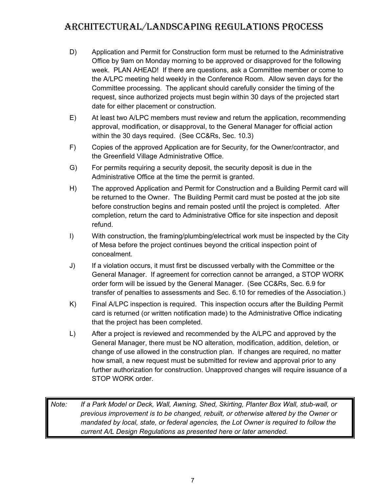- D) Application and Permit for Construction form must be returned to the Administrative Office by 9am on Monday morning to be approved or disapproved for the following week. PLAN AHEAD! If there are questions, ask a Committee member or come to the A/LPC meeting held weekly in the Conference Room. Allow seven days for the Committee processing. The applicant should carefully consider the timing of the request, since authorized projects must begin within 30 days of the projected start date for either placement or construction.
- E) At least two A/LPC members must review and return the application, recommending approval, modification, or disapproval, to the General Manager for official action within the 30 days required. (See CC&Rs, Sec. 10.3)
- F) Copies of the approved Application are for Security, for the Owner/contractor, and the Greenfield Village Administrative Office.
- G) For permits requiring a security deposit, the security deposit is due in the Administrative Office at the time the permit is granted.
- H) The approved Application and Permit for Construction and a Building Permit card will be returned to the Owner. The Building Permit card must be posted at the job site before construction begins and remain posted until the project is completed. After completion, return the card to Administrative Office for site inspection and deposit refund.
- I) With construction, the framing/plumbing/electrical work must be inspected by the City of Mesa before the project continues beyond the critical inspection point of concealment.
- J) If a violation occurs, it must first be discussed verbally with the Committee or the General Manager. If agreement for correction cannot be arranged, a STOP WORK order form will be issued by the General Manager. (See CC&Rs, Sec. 6.9 for transfer of penalties to assessments and Sec. 6.10 for remedies of the Association.)
- K) Final A/LPC inspection is required. This inspection occurs after the Building Permit card is returned (or written notification made) to the Administrative Office indicating that the project has been completed.
- L) After a project is reviewed and recommended by the A/LPC and approved by the General Manager, there must be NO alteration, modification, addition, deletion, or change of use allowed in the construction plan. If changes are required, no matter how small, a new request must be submitted for review and approval prior to any further authorization for construction. Unapproved changes will require issuance of a STOP WORK order.

*Note: If a Park Model or Deck, Wall, Awning, Shed, Skirting, Planter Box Wall, stub-wall, or previous improvement is to be changed, rebuilt, or otherwise altered by the Owner or mandated by local, state, or federal agencies, the Lot Owner is required to follow the current A/L Design Regulations as presented here or later amended.*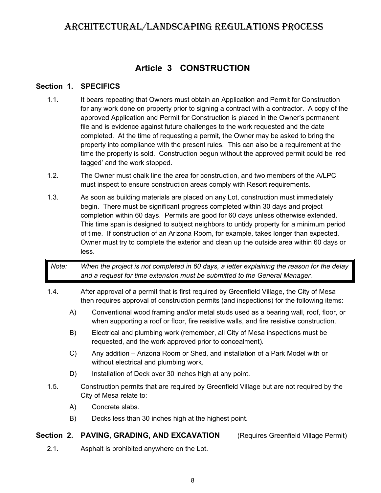### <span id="page-11-2"></span>**Article 3 CONSTRUCTION**

#### **Section 1. SPECIFICS**

- <span id="page-11-1"></span>1.1. It bears repeating that Owners must obtain an Application and Permit for Construction for any work done on property prior to signing a contract with a contractor. A copy of the approved Application and Permit for Construction is placed in the Owner's permanent file and is evidence against future challenges to the work requested and the date completed. At the time of requesting a permit, the Owner may be asked to bring the property into compliance with the present rules. This can also be a requirement at the time the property is sold. Construction begun without the approved permit could be 'red tagged' and the work stopped.
- 1.2. The Owner must chalk line the area for construction, and two members of the A/LPC must inspect to ensure construction areas comply with Resort requirements.
- 1.3. As soon as building materials are placed on any Lot, construction must immediately begin. There must be significant progress completed within 30 days and project completion within 60 days. Permits are good for 60 days unless otherwise extended. This time span is designed to subject neighbors to untidy property for a minimum period of time. If construction of an Arizona Room, for example, takes longer than expected, Owner must try to complete the exterior and clean up the outside area within 60 days or less.

### *Note: When the project is not completed in 60 days, a letter explaining the reason for the delay and a request for time extension must be submitted to the General Manager.*

- 1.4. After approval of a permit that is first required by Greenfield Village, the City of Mesa then requires approval of construction permits (and inspections) for the following items:
	- A) Conventional wood framing and/or metal studs used as a bearing wall, roof, floor, or when supporting a roof or floor, fire resistive walls, and fire resistive construction.
	- B) Electrical and plumbing work (remember, all City of Mesa inspections must be requested, and the work approved prior to concealment).
	- C) Any addition Arizona Room or Shed, and installation of a Park Model with or without electrical and plumbing work.
	- D) Installation of Deck over 30 inches high at any point.
- 1.5. Construction permits that are required by Greenfield Village but are not required by the City of Mesa relate to:
	- A) Concrete slabs.
	- B) Decks less than 30 inches high at the highest point.

#### **Section 2. PAVING, GRADING, AND EXCAVATION** (Requires Greenfield Village Permit)

- 
- <span id="page-11-0"></span>2.1. Asphalt is prohibited anywhere on the Lot.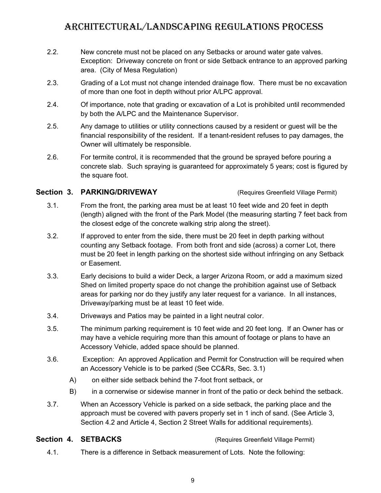- 2.2. New concrete must not be placed on any Setbacks or around water gate valves. Exception: Driveway concrete on front or side Setback entrance to an approved parking area. (City of Mesa Regulation)
- 2.3. Grading of a Lot must not change intended drainage flow. There must be no excavation of more than one foot in depth without prior A/LPC approval.
- 2.4. Of importance, note that grading or excavation of a Lot is prohibited until recommended by both the A/LPC and the Maintenance Supervisor.
- 2.5. Any damage to utilities or utility connections caused by a resident or guest will be the financial responsibility of the resident. If a tenant-resident refuses to pay damages, the Owner will ultimately be responsible.
- 2.6. For termite control, it is recommended that the ground be sprayed before pouring a concrete slab. Such spraying is guaranteed for approximately 5 years; cost is figured by the square foot.

#### **Section 3. PARKING/DRIVEWAY** (Requires Greenfield Village Permit)

- <span id="page-12-1"></span>3.1. From the front, the parking area must be at least 10 feet wide and 20 feet in depth (length) aligned with the front of the Park Model (the measuring starting 7 feet back from the closest edge of the concrete walking strip along the street).
- 3.2. If approved to enter from the side, there must be 20 feet in depth parking without counting any Setback footage. From both front and side (across) a corner Lot, there must be 20 feet in length parking on the shortest side without infringing on any Setback or Easement.
- 3.3. Early decisions to build a wider Deck, a larger Arizona Room, or add a maximum sized Shed on limited property space do not change the prohibition against use of Setback areas for parking nor do they justify any later request for a variance. In all instances, Driveway/parking must be at least 10 feet wide.
- 3.4. Driveways and Patios may be painted in a light neutral color.
- 3.5. The minimum parking requirement is 10 feet wide and 20 feet long. If an Owner has or may have a vehicle requiring more than this amount of footage or plans to have an Accessory Vehicle, added space should be planned.
- 3.6. Exception: An approved Application and Permit for Construction will be required when an Accessory Vehicle is to be parked (See CC&Rs, Sec. 3.1)
	- A) on either side setback behind the 7-foot front setback, or
	- B) in a cornerwise or sidewise manner in front of the patio or deck behind the setback.
- 3.7. When an Accessory Vehicle is parked on a side setback, the parking place and the approach must be covered with pavers properly set in 1 inch of sand. (See Article 3, Section 4.2 and Article 4, Section 2 Street Walls for additional requirements).

### **Section 4. SETBACKS** (Requires Greenfield Village Permit)

<span id="page-12-0"></span>4.1. There is a difference in Setback measurement of Lots. Note the following: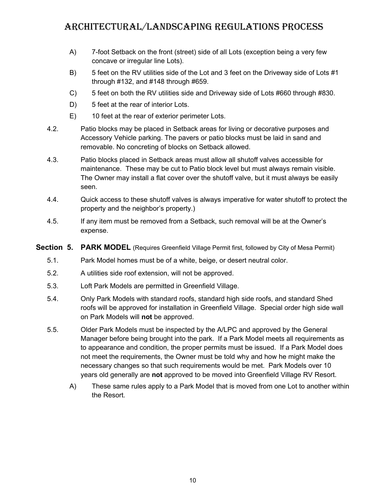- A) 7-foot Setback on the front (street) side of all Lots (exception being a very few concave or irregular line Lots).
- B) 5 feet on the RV utilities side of the Lot and 3 feet on the Driveway side of Lots #1 through #132, and #148 through #659.
- C) 5 feet on both the RV utilities side and Driveway side of Lots #660 through #830.
- D) 5 feet at the rear of interior Lots.
- E) 10 feet at the rear of exterior perimeter Lots.
- 4.2. Patio blocks may be placed in Setback areas for living or decorative purposes and Accessory Vehicle parking. The pavers or patio blocks must be laid in sand and removable. No concreting of blocks on Setback allowed.
- 4.3. Patio blocks placed in Setback areas must allow all shutoff valves accessible for maintenance. These may be cut to Patio block level but must always remain visible. The Owner may install a flat cover over the shutoff valve, but it must always be easily seen.
- 4.4. Quick access to these shutoff valves is always imperative for water shutoff to protect the property and the neighbor's property.)
- 4.5. If any item must be removed from a Setback, such removal will be at the Owner's expense.

#### **Section 5. PARK MODEL** (Requires Greenfield Village Permit first, followed by City of Mesa Permit)

- <span id="page-13-0"></span>5.1. Park Model homes must be of a white, beige, or desert neutral color.
- 5.2. A utilities side roof extension, will not be approved.
- 5.3. Loft Park Models are permitted in Greenfield Village.
- 5.4. Only Park Models with standard roofs, standard high side roofs, and standard Shed roofs will be approved for installation in Greenfield Village. Special order high side wall on Park Models will **not** be approved.
- 5.5. Older Park Models must be inspected by the A/LPC and approved by the General Manager before being brought into the park. If a Park Model meets all requirements as to appearance and condition, the proper permits must be issued. If a Park Model does not meet the requirements, the Owner must be told why and how he might make the necessary changes so that such requirements would be met. Park Models over 10 years old generally are **not** approved to be moved into Greenfield Village RV Resort.
	- A) These same rules apply to a Park Model that is moved from one Lot to another within the Resort.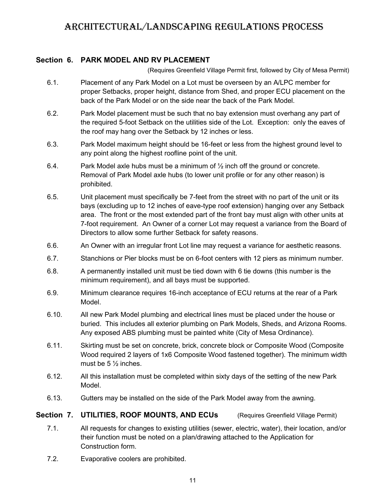#### **Section 6. PARK MODEL AND RV PLACEMENT**

(Requires Greenfield Village Permit first, followed by City of Mesa Permit)

- <span id="page-14-1"></span>6.1. Placement of any Park Model on a Lot must be overseen by an A/LPC member for proper Setbacks, proper height, distance from Shed, and proper ECU placement on the back of the Park Model or on the side near the back of the Park Model.
- 6.2. Park Model placement must be such that no bay extension must overhang any part of the required 5-foot Setback on the utilities side of the Lot. Exception: only the eaves of the roof may hang over the Setback by 12 inches or less.
- 6.3. Park Model maximum height should be 16-feet or less from the highest ground level to any point along the highest roofline point of the unit.
- 6.4. Park Model axle hubs must be a minimum of  $\frac{1}{2}$  inch off the ground or concrete. Removal of Park Model axle hubs (to lower unit profile or for any other reason) is prohibited.
- 6.5. Unit placement must specifically be 7-feet from the street with no part of the unit or its bays (excluding up to 12 inches of eave-type roof extension) hanging over any Setback area. The front or the most extended part of the front bay must align with other units at 7-foot requirement. An Owner of a corner Lot may request a variance from the Board of Directors to allow some further Setback for safety reasons.
- 6.6. An Owner with an irregular front Lot line may request a variance for aesthetic reasons.
- 6.7. Stanchions or Pier blocks must be on 6-foot centers with 12 piers as minimum number.
- 6.8. A permanently installed unit must be tied down with 6 tie downs (this number is the minimum requirement), and all bays must be supported.
- 6.9. Minimum clearance requires 16-inch acceptance of ECU returns at the rear of a Park Model.
- 6.10. All new Park Model plumbing and electrical lines must be placed under the house or buried. This includes all exterior plumbing on Park Models, Sheds, and Arizona Rooms. Any exposed ABS plumbing must be painted white (City of Mesa Ordinance).
- 6.11. Skirting must be set on concrete, brick, concrete block or Composite Wood (Composite Wood required 2 layers of 1x6 Composite Wood fastened together). The minimum width must be  $5\frac{1}{2}$  inches.
- 6.12. All this installation must be completed within sixty days of the setting of the new Park Model.
- 6.13. Gutters may be installed on the side of the Park Model away from the awning.

### **Section 7. UTILITIES, ROOF MOUNTS, AND ECUs** (Requires Greenfield Village Permit)

- <span id="page-14-0"></span>7.1. All requests for changes to existing utilities (sewer, electric, water), their location, and/or their function must be noted on a plan/drawing attached to the Application for Construction form.
- 7.2. Evaporative coolers are prohibited.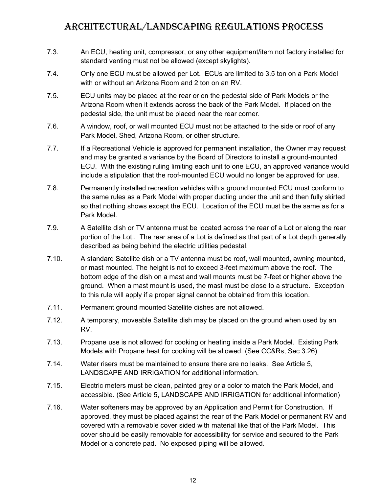- 7.3. An ECU, heating unit, compressor, or any other equipment/item not factory installed for standard venting must not be allowed (except skylights).
- 7.4. Only one ECU must be allowed per Lot. ECUs are limited to 3.5 ton on a Park Model with or without an Arizona Room and 2 ton on an RV.
- 7.5. ECU units may be placed at the rear or on the pedestal side of Park Models or the Arizona Room when it extends across the back of the Park Model. If placed on the pedestal side, the unit must be placed near the rear corner.
- 7.6. A window, roof, or wall mounted ECU must not be attached to the side or roof of any Park Model, Shed, Arizona Room, or other structure.
- 7.7. If a Recreational Vehicle is approved for permanent installation, the Owner may request and may be granted a variance by the Board of Directors to install a ground-mounted ECU. With the existing ruling limiting each unit to one ECU, an approved variance would include a stipulation that the roof-mounted ECU would no longer be approved for use.
- 7.8. Permanently installed recreation vehicles with a ground mounted ECU must conform to the same rules as a Park Model with proper ducting under the unit and then fully skirted so that nothing shows except the ECU. Location of the ECU must be the same as for a Park Model.
- 7.9. A Satellite dish or TV antenna must be located across the rear of a Lot or along the rear portion of the Lot.. The rear area of a Lot is defined as that part of a Lot depth generally described as being behind the electric utilities pedestal.
- 7.10. A standard Satellite dish or a TV antenna must be roof, wall mounted, awning mounted, or mast mounted. The height is not to exceed 3-feet maximum above the roof. The bottom edge of the dish on a mast and wall mounts must be 7-feet or higher above the ground. When a mast mount is used, the mast must be close to a structure. Exception to this rule will apply if a proper signal cannot be obtained from this location.
- 7.11. Permanent ground mounted Satellite dishes are not allowed.
- 7.12. A temporary, moveable Satellite dish may be placed on the ground when used by an RV.
- 7.13. Propane use is not allowed for cooking or heating inside a Park Model. Existing Park Models with Propane heat for cooking will be allowed. (See CC&Rs, Sec 3.26)
- 7.14. Water risers must be maintained to ensure there are no leaks. See Article 5, LANDSCAPE AND IRRIGATION for additional information.
- 7.15. Electric meters must be clean, painted grey or a color to match the Park Model, and accessible. (See Article 5, LANDSCAPE AND IRRIGATION for additional information)
- 7.16. Water softeners may be approved by an Application and Permit for Construction. If approved, they must be placed against the rear of the Park Model or permanent RV and covered with a removable cover sided with material like that of the Park Model. This cover should be easily removable for accessibility for service and secured to the Park Model or a concrete pad. No exposed piping will be allowed.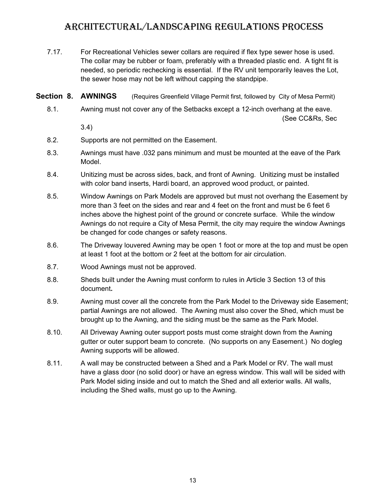- 7.17. For Recreational Vehicles sewer collars are required if flex type sewer hose is used. The collar may be rubber or foam, preferably with a threaded plastic end. A tight fit is needed, so periodic rechecking is essential. If the RV unit temporarily leaves the Lot, the sewer hose may not be left without capping the standpipe.
- **Section 8. AWNINGS** (Requires Greenfield Village Permit first, followed by City of Mesa Permit)
	- 8.1. Awning must not cover any of the Setbacks except a 12-inch overhang at the eave. (See CC&Rs, Sec

<span id="page-16-0"></span>3.4)

- 8.2. Supports are not permitted on the Easement.
- 8.3. Awnings must have .032 pans minimum and must be mounted at the eave of the Park Model.
- 8.4. Unitizing must be across sides, back, and front of Awning. Unitizing must be installed with color band inserts, Hardi board, an approved wood product, or painted.
- 8.5. Window Awnings on Park Models are approved but must not overhang the Easement by more than 3 feet on the sides and rear and 4 feet on the front and must be 6 feet 6 inches above the highest point of the ground or concrete surface. While the window Awnings do not require a City of Mesa Permit, the city may require the window Awnings be changed for code changes or safety reasons.
- 8.6. The Driveway louvered Awning may be open 1 foot or more at the top and must be open at least 1 foot at the bottom or 2 feet at the bottom for air circulation.
- 8.7. Wood Awnings must not be approved.
- 8.8. Sheds built under the Awning must conform to rules in Article 3 Section 13 of this document**.**
- 8.9. Awning must cover all the concrete from the Park Model to the Driveway side Easement; partial Awnings are not allowed. The Awning must also cover the Shed, which must be brought up to the Awning, and the siding must be the same as the Park Model.
- 8.10. All Driveway Awning outer support posts must come straight down from the Awning gutter or outer support beam to concrete. (No supports on any Easement.) No dogleg Awning supports will be allowed.
- 8.11. A wall may be constructed between a Shed and a Park Model or RV. The wall must have a glass door (no solid door) or have an egress window. This wall will be sided with Park Model siding inside and out to match the Shed and all exterior walls. All walls, including the Shed walls, must go up to the Awning.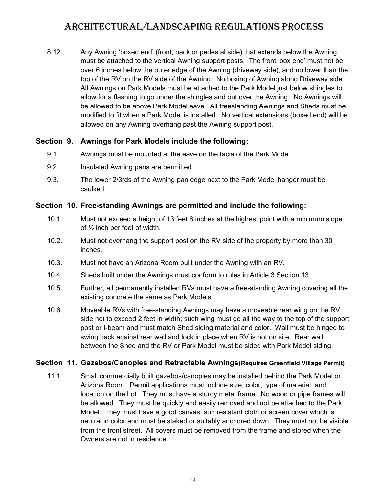8.12. Any Awning 'boxed end' (front, back or pedestal side) that extends below the Awning must be attached to the vertical Awning support posts. The front 'box end' must not be over 6 inches below the outer edge of the Awning (driveway side), and no lower than the top of the RV on the RV side of the Awning. No boxing of Awning along Driveway side. All Awnings on Park Models must be attached to the Park Model just below shingles to allow for a flashing to go under the shingles and out over the Awning. No Awnings will be allowed to be above Park Model eave. All freestanding Awnings and Sheds must be modified to fit when a Park Model is installed. No vertical extensions (boxed end) will be allowed on any Awning overhang past the Awning support post.

#### **Section 9. Awnings for Park Models include the following:**

- <span id="page-17-2"></span>9.1. Awnings must be mounted at the eave on the facia of the Park Model.
- 9.2. Insulated Awning pans are permitted.
- 9.3. The lower 2/3rds of the Awning pan edge next to the Park Model hanger must be caulked.

#### **Section 10. Free-standing Awnings are permitted and include the following:**

- <span id="page-17-1"></span>10.1. Must not exceed a height of 13 feet 6 inches at the highest point with a minimum slope of ½ inch per foot of width.
- 10.2. Must not overhang the support post on the RV side of the property by more than 30 inches.
- 10.3. Must not have an Arizona Room built under the Awning with an RV.
- 10.4. Sheds built under the Awnings must conform to rules in Article 3 Section 13.
- 10.5. Further, all permanently installed RVs must have a free-standing Awning covering all the existing concrete the same as Park Models.
- 10.6. Moveable RVs with free-standing Awnings may have a moveable rear wing on the RV side not to exceed 2 feet in width; such wing must go all the way to the top of the support post or I-beam and must match Shed siding material and color. Wall must be hinged to swing back against rear wall and lock in place when RV is not on site. Rear wall between the Shed and the RV or Park Model must be sided with Park Model siding.

#### **Section 11. Gazebos/Canopies and Retractable Awnings(Requires Greenfield Village Permit)**

<span id="page-17-0"></span>11.1. Small commercially built gazebos/canopies may be installed behind the Park Model or Arizona Room. Permit applications must include size, color, type of material, and location on the Lot. They must have a sturdy metal frame. No wood or pipe frames will be allowed. They must be quickly and easily removed and not be attached to the Park Model. They must have a good canvas, sun resistant cloth or screen cover which is neutral in color and must be staked or suitably anchored down. They must not be visible from the front street. All covers must be removed from the frame and stored when the Owners are not in residence.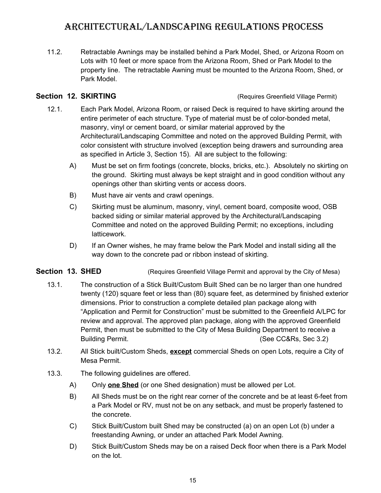11.2. Retractable Awnings may be installed behind a Park Model, Shed, or Arizona Room on Lots with 10 feet or more space from the Arizona Room, Shed or Park Model to the property line. The retractable Awning must be mounted to the Arizona Room, Shed, or Park Model.

**Section 12. SKIRTING Section 12. SKIRTING CONSUMING CONSUMING CONSUMING CONSUMING CONSUMING CONSUMING CONSUMING CONSUMING CONSUMING CONSUMING CONSUMING CONSUMING CONSUMING CONSUMING CONSUMI** 

- <span id="page-18-1"></span>12.1. Each Park Model, Arizona Room, or raised Deck is required to have skirting around the entire perimeter of each structure. Type of material must be of color-bonded metal, masonry, vinyl or cement board, or similar material approved by the Architectural/Landscaping Committee and noted on the approved Building Permit, with color consistent with structure involved (exception being drawers and surrounding area as specified in Article 3, Section 15). All are subject to the following:
	- A) Must be set on firm footings (concrete, blocks, bricks, etc.). Absolutely no skirting on the ground. Skirting must always be kept straight and in good condition without any openings other than skirting vents or access doors.
	- B) Must have air vents and crawl openings.
	- C) Skirting must be aluminum, masonry, vinyl, cement board, composite wood, OSB backed siding or similar material approved by the Architectural/Landscaping Committee and noted on the approved Building Permit; no exceptions, including latticework.
	- D) If an Owner wishes, he may frame below the Park Model and install siding all the way down to the concrete pad or ribbon instead of skirting.

### **Section 13. SHED** (Requires Greenfield Village Permit and approval by the City of Mesa)

- <span id="page-18-0"></span>13.1. The construction of a Stick Built/Custom Built Shed can be no larger than one hundred twenty (120) square feet or less than (80) square feet, as determined by finished exterior dimensions. Prior to construction a complete detailed plan package along with "Application and Permit for Construction" must be submitted to the Greenfield A/LPC for review and approval. The approved plan package, along with the approved Greenfield Permit, then must be submitted to the City of Mesa Building Department to receive a Building Permit. **Example 20** See CC&Rs, Sec 3.2)
- 13.2. All Stick built/Custom Sheds, **except** commercial Sheds on open Lots, require a City of Mesa Permit.
- 13.3. The following guidelines are offered.
	- A) Only **one Shed** (or one Shed designation) must be allowed per Lot.
	- B) All Sheds must be on the right rear corner of the concrete and be at least 6-feet from a Park Model or RV, must not be on any setback, and must be properly fastened to the concrete.
	- C) Stick Built/Custom built Shed may be constructed (a) on an open Lot (b) under a freestanding Awning, or under an attached Park Model Awning.
	- D) Stick Built/Custom Sheds may be on a raised Deck floor when there is a Park Model on the lot.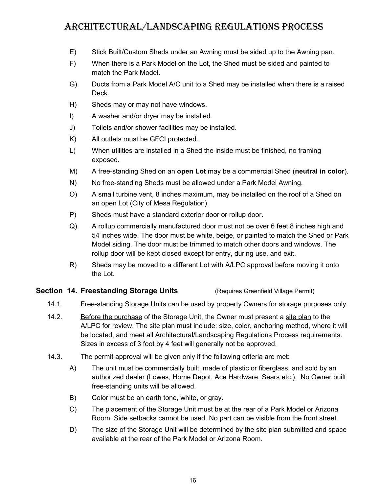- E) Stick Built/Custom Sheds under an Awning must be sided up to the Awning pan.
- F) When there is a Park Model on the Lot, the Shed must be sided and painted to match the Park Model.
- G) Ducts from a Park Model A/C unit to a Shed may be installed when there is a raised Deck.
- H) Sheds may or may not have windows.
- I) A washer and/or dryer may be installed.
- J) Toilets and/or shower facilities may be installed.
- K) All outlets must be GFCI protected.
- L) When utilities are installed in a Shed the inside must be finished, no framing exposed.
- M) A free-standing Shed on an **open Lot** may be a commercial Shed (**neutral in color**).
- N) No free-standing Sheds must be allowed under a Park Model Awning.
- O) A small turbine vent, 8 inches maximum, may be installed on the roof of a Shed on an open Lot (City of Mesa Regulation).
- P) Sheds must have a standard exterior door or rollup door.
- Q) A rollup commercially manufactured door must not be over 6 feet 8 inches high and 54 inches wide. The door must be white, beige, or painted to match the Shed or Park Model siding. The door must be trimmed to match other doors and windows. The rollup door will be kept closed except for entry, during use, and exit.
- <span id="page-19-0"></span>R) Sheds may be moved to a different Lot with A/LPC approval before moving it onto the Lot.

#### **Section 14. Freestanding Storage Units <b>Standing Storage Permit**)

- 14.1. Free-standing Storage Units can be used by property Owners for storage purposes only.
- 14.2. Before the purchase of the Storage Unit, the Owner must present a site plan to the A/LPC for review. The site plan must include: size, color, anchoring method, where it will be located, and meet all Architectural/Landscaping Regulations Process requirements. Sizes in excess of 3 foot by 4 feet will generally not be approved.
- 14.3. The permit approval will be given only if the following criteria are met:
	- A) The unit must be commercially built, made of plastic or fiberglass, and sold by an authorized dealer (Lowes, Home Depot, Ace Hardware, Sears etc.). No Owner built free-standing units will be allowed.
	- B) Color must be an earth tone, white, or gray.
	- C) The placement of the Storage Unit must be at the rear of a Park Model or Arizona Room. Side setbacks cannot be used. No part can be visible from the front street.
	- D) The size of the Storage Unit will be determined by the site plan submitted and space available at the rear of the Park Model or Arizona Room.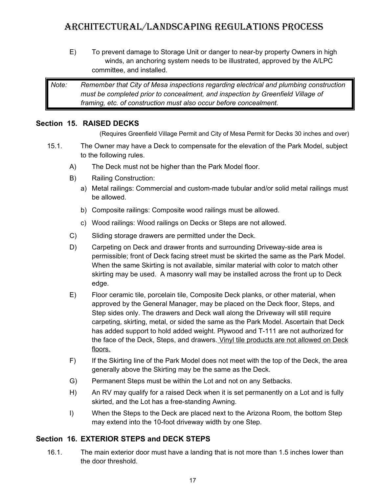E) To prevent damage to Storage Unit or danger to near-by property Owners in high winds, an anchoring system needs to be illustrated, approved by the A/LPC committee, and installed.

*Note: Remember that City of Mesa inspections regarding electrical and plumbing construction must be completed prior to concealment, and inspection by Greenfield Village of framing, etc. of construction must also occur before concealment.*

#### **Section 15. RAISED DECKS**

<span id="page-20-1"></span>(Requires Greenfield Village Permit and City of Mesa Permit for Decks 30 inches and over)

- 15.1. The Owner may have a Deck to compensate for the elevation of the Park Model, subject to the following rules.
	- A) The Deck must not be higher than the Park Model floor.
	- B) Railing Construction:
		- a) Metal railings: Commercial and custom-made tubular and/or solid metal railings must be allowed.
		- b) Composite railings: Composite wood railings must be allowed.
		- c) Wood railings: Wood railings on Decks or Steps are not allowed.
	- C) Sliding storage drawers are permitted under the Deck.
	- D) Carpeting on Deck and drawer fronts and surrounding Driveway-side area is permissible; front of Deck facing street must be skirted the same as the Park Model. When the same Skirting is not available, similar material with color to match other skirting may be used. A masonry wall may be installed across the front up to Deck edge.
	- E) Floor ceramic tile, porcelain tile, Composite Deck planks, or other material, when approved by the General Manager, may be placed on the Deck floor, Steps, and Step sides only. The drawers and Deck wall along the Driveway will still require carpeting, skirting, metal, or sided the same as the Park Model. Ascertain that Deck has added support to hold added weight. Plywood and T-111 are not authorized for the face of the Deck, Steps, and drawers. Vinyl tile products are not allowed on Deck floors.
	- F) If the Skirting line of the Park Model does not meet with the top of the Deck, the area generally above the Skirting may be the same as the Deck.
	- G) Permanent Steps must be within the Lot and not on any Setbacks.
	- H) An RV may qualify for a raised Deck when it is set permanently on a Lot and is fully skirted, and the Lot has a free-standing Awning.
	- I) When the Steps to the Deck are placed next to the Arizona Room, the bottom Step may extend into the 10-foot driveway width by one Step.

#### **Section 16. EXTERIOR STEPS and DECK STEPS**

<span id="page-20-0"></span>16.1. The main exterior door must have a landing that is not more than 1.5 inches lower than the door threshold.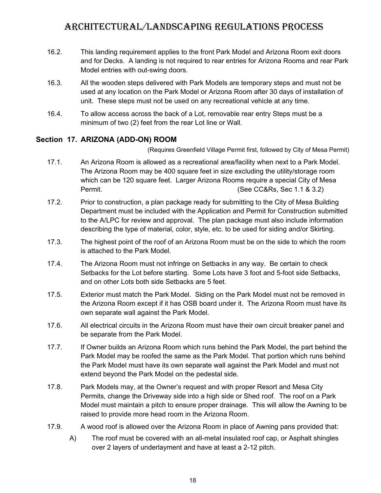- 16.2. This landing requirement applies to the front Park Model and Arizona Room exit doors and for Decks. A landing is not required to rear entries for Arizona Rooms and rear Park Model entries with out-swing doors.
- 16.3. All the wooden steps delivered with Park Models are temporary steps and must not be used at any location on the Park Model or Arizona Room after 30 days of installation of unit. These steps must not be used on any recreational vehicle at any time.
- 16.4. To allow access across the back of a Lot, removable rear entry Steps must be a minimum of two (2) feet from the rear Lot line or Wall.

#### **Section 17. ARIZONA (ADD-ON) ROOM**

(Requires Greenfield Village Permit first, followed by City of Mesa Permit)

- <span id="page-21-0"></span>17.1. An Arizona Room is allowed as a recreational area/facility when next to a Park Model. The Arizona Room may be 400 square feet in size excluding the utility/storage room which can be 120 square feet. Larger Arizona Rooms require a special City of Mesa Permit. **Example 2.1 Sec 2.4 The COMPUTE 1.5 (See CC&Rs, Sec 1.1 & 3.2)**
- 17.2. Prior to construction, a plan package ready for submitting to the City of Mesa Building Department must be included with the Application and Permit for Construction submitted to the A/LPC for review and approval. The plan package must also include information describing the type of material, color, style, etc. to be used for siding and/or Skirting.
- 17.3. The highest point of the roof of an Arizona Room must be on the side to which the room is attached to the Park Model.
- 17.4. The Arizona Room must not infringe on Setbacks in any way. Be certain to check Setbacks for the Lot before starting. Some Lots have 3 foot and 5-foot side Setbacks, and on other Lots both side Setbacks are 5 feet.
- 17.5. Exterior must match the Park Model. Siding on the Park Model must not be removed in the Arizona Room except if it has OSB board under it. The Arizona Room must have its own separate wall against the Park Model.
- 17.6. All electrical circuits in the Arizona Room must have their own circuit breaker panel and be separate from the Park Model.
- 17.7. If Owner builds an Arizona Room which runs behind the Park Model, the part behind the Park Model may be roofed the same as the Park Model. That portion which runs behind the Park Model must have its own separate wall against the Park Model and must not extend beyond the Park Model on the pedestal side.
- 17.8. Park Models may, at the Owner's request and with proper Resort and Mesa City Permits, change the Driveway side into a high side or Shed roof. The roof on a Park Model must maintain a pitch to ensure proper drainage. This will allow the Awning to be raised to provide more head room in the Arizona Room.
- 17.9. A wood roof is allowed over the Arizona Room in place of Awning pans provided that:
	- A) The roof must be covered with an all-metal insulated roof cap, or Asphalt shingles over 2 layers of underlayment and have at least a 2-12 pitch.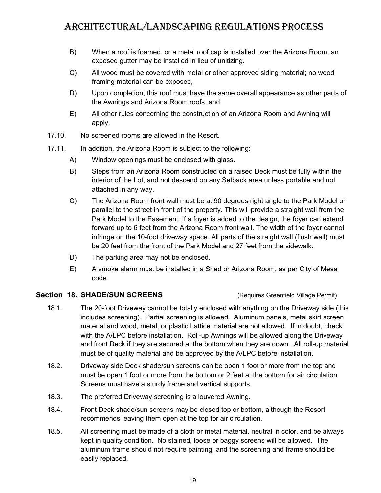- B) When a roof is foamed, or a metal roof cap is installed over the Arizona Room, an exposed gutter may be installed in lieu of unitizing.
- C) All wood must be covered with metal or other approved siding material; no wood framing material can be exposed,
- D) Upon completion, this roof must have the same overall appearance as other parts of the Awnings and Arizona Room roofs, and
- E) All other rules concerning the construction of an Arizona Room and Awning will apply.
- 17.10. No screened rooms are allowed in the Resort.
- 17.11. In addition, the Arizona Room is subject to the following:
	- A) Window openings must be enclosed with glass.
	- B) Steps from an Arizona Room constructed on a raised Deck must be fully within the interior of the Lot, and not descend on any Setback area unless portable and not attached in any way.
	- C) The Arizona Room front wall must be at 90 degrees right angle to the Park Model or parallel to the street in front of the property. This will provide a straight wall from the Park Model to the Easement. If a foyer is added to the design, the foyer can extend forward up to 6 feet from the Arizona Room front wall. The width of the foyer cannot infringe on the 10-foot driveway space. All parts of the straight wall (flush wall) must be 20 feet from the front of the Park Model and 27 feet from the sidewalk.
	- D) The parking area may not be enclosed.
	- E) A smoke alarm must be installed in a Shed or Arizona Room, as per City of Mesa code.

#### **Section 18. SHADE/SUN SCREENS** (Requires Greenfield Village Permit)

- <span id="page-22-0"></span>18.1. The 20-foot Driveway cannot be totally enclosed with anything on the Driveway side (this includes screening). Partial screening is allowed. Aluminum panels, metal skirt screen material and wood, metal, or plastic Lattice material are not allowed. If in doubt, check with the A/LPC before installation. Roll-up Awnings will be allowed along the Driveway and front Deck if they are secured at the bottom when they are down. All roll-up material must be of quality material and be approved by the A/LPC before installation.
- 18.2. Driveway side Deck shade/sun screens can be open 1 foot or more from the top and must be open 1 foot or more from the bottom or 2 feet at the bottom for air circulation. Screens must have a sturdy frame and vertical supports.
- 18.3. The preferred Driveway screening is a louvered Awning.
- 18.4. Front Deck shade/sun screens may be closed top or bottom, although the Resort recommends leaving them open at the top for air circulation.
- 18.5. All screening must be made of a cloth or metal material, neutral in color, and be always kept in quality condition. No stained, loose or baggy screens will be allowed. The aluminum frame should not require painting, and the screening and frame should be easily replaced.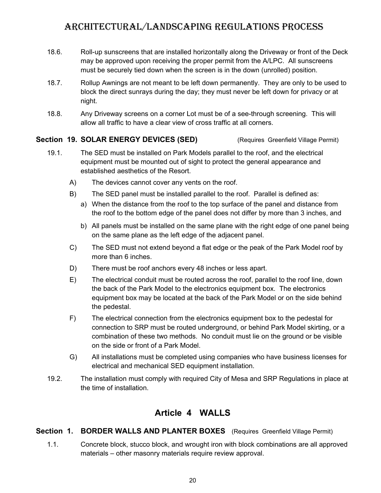- 18.6. Roll-up sunscreens that are installed horizontally along the Driveway or front of the Deck may be approved upon receiving the proper permit from the A/LPC. All sunscreens must be securely tied down when the screen is in the down (unrolled) position.
- 18.7. Rollup Awnings are not meant to be left down permanently. They are only to be used to block the direct sunrays during the day; they must never be left down for privacy or at night.
- 18.8. Any Driveway screens on a corner Lot must be of a see-through screening. This will allow all traffic to have a clear view of cross traffic at all corners.

#### **Section 19. SOLAR ENERGY DEVICES (SED)** (Requires Greenfield Village Permit)

- <span id="page-23-1"></span>19.1. The SED must be installed on Park Models parallel to the roof, and the electrical equipment must be mounted out of sight to protect the general appearance and established aesthetics of the Resort.
	- A) The devices cannot cover any vents on the roof.
	- B) The SED panel must be installed parallel to the roof. Parallel is defined as:
		- a) When the distance from the roof to the top surface of the panel and distance from the roof to the bottom edge of the panel does not differ by more than 3 inches, and
		- b) All panels must be installed on the same plane with the right edge of one panel being on the same plane as the left edge of the adjacent panel.
	- C) The SED must not extend beyond a flat edge or the peak of the Park Model roof by more than 6 inches.
	- D) There must be roof anchors every 48 inches or less apart.
	- E) The electrical conduit must be routed across the roof, parallel to the roof line, down the back of the Park Model to the electronics equipment box. The electronics equipment box may be located at the back of the Park Model or on the side behind the pedestal.
	- F) The electrical connection from the electronics equipment box to the pedestal for connection to SRP must be routed underground, or behind Park Model skirting, or a combination of these two methods. No conduit must lie on the ground or be visible on the side or front of a Park Model.
	- G) All installations must be completed using companies who have business licenses for electrical and mechanical SED equipment installation.
- 19.2. The installation must comply with required City of Mesa and SRP Regulations in place at the time of installation.

### <span id="page-23-0"></span>**Article 4 WALLS**

#### **Section 1. BORDER WALLS AND PLANTER BOXES** (Requires Greenfield Village Permit)

<span id="page-23-2"></span>1.1. Concrete block, stucco block, and wrought iron with block combinations are all approved materials – other masonry materials require review approval.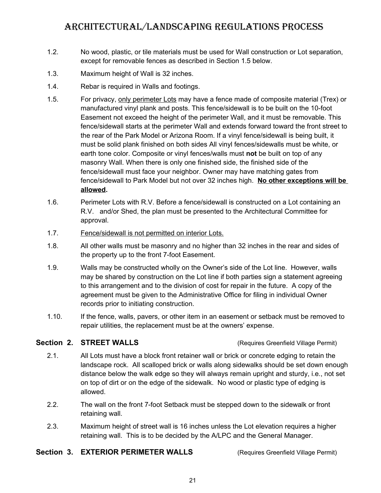- 1.2. No wood, plastic, or tile materials must be used for Wall construction or Lot separation, except for removable fences as described in Section 1.5 below.
- 1.3. Maximum height of Wall is 32 inches.
- 1.4. Rebar is required in Walls and footings.
- 1.5. For privacy, only perimeter Lots may have a fence made of composite material (Trex) or manufactured vinyl plank and posts. This fence/sidewall is to be built on the 10-foot Easement not exceed the height of the perimeter Wall, and it must be removable. This fence/sidewall starts at the perimeter Wall and extends forward toward the front street to the rear of the Park Model or Arizona Room. If a vinyl fence/sidewall is being built, it must be solid plank finished on both sides All vinyl fences/sidewalls must be white, or earth tone color. Composite or vinyl fences/walls must **not** be built on top of any masonry Wall. When there is only one finished side, the finished side of the fence/sidewall must face your neighbor. Owner may have matching gates from fence/sidewall to Park Model but not over 32 inches high. **No other exceptions will be allowed.**
- 1.6. Perimeter Lots with R.V. Before a fence/sidewall is constructed on a Lot containing an R.V. and/or Shed, the plan must be presented to the Architectural Committee for approval.
- 1.7. Fence/sidewall is not permitted on interior Lots.
- 1.8. All other walls must be masonry and no higher than 32 inches in the rear and sides of the property up to the front 7-foot Easement.
- 1.9. Walls may be constructed wholly on the Owner's side of the Lot line. However, walls may be shared by construction on the Lot line if both parties sign a statement agreeing to this arrangement and to the division of cost for repair in the future. A copy of the agreement must be given to the Administrative Office for filing in individual Owner records prior to initiating construction.
- 1.10. If the fence, walls, pavers, or other item in an easement or setback must be removed to repair utilities, the replacement must be at the owners' expense.

#### **Section 2. STREET WALLS** (Requires Greenfield Village Permit)

- <span id="page-24-1"></span>2.1. All Lots must have a block front retainer wall or brick or concrete edging to retain the landscape rock. All scalloped brick or walls along sidewalks should be set down enough distance below the walk edge so they will always remain upright and sturdy, i.e., not set on top of dirt or on the edge of the sidewalk. No wood or plastic type of edging is allowed.
- 2.2. The wall on the front 7-foot Setback must be stepped down to the sidewalk or front retaining wall.
- <span id="page-24-0"></span>2.3. Maximum height of street wall is 16 inches unless the Lot elevation requires a higher retaining wall. This is to be decided by the A/LPC and the General Manager.

#### **Section 3. EXTERIOR PERIMETER WALLS** (Requires Greenfield Village Permit)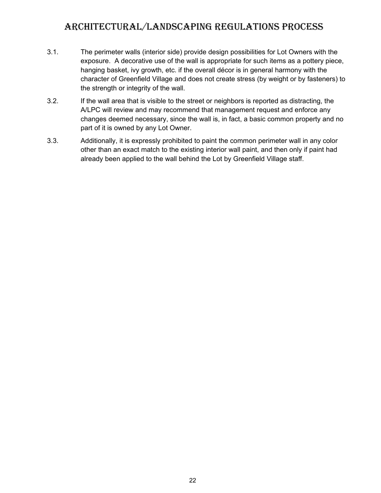- 3.1. The perimeter walls (interior side) provide design possibilities for Lot Owners with the exposure. A decorative use of the wall is appropriate for such items as a pottery piece, hanging basket, ivy growth, etc. if the overall décor is in general harmony with the character of Greenfield Village and does not create stress (by weight or by fasteners) to the strength or integrity of the wall.
- 3.2. If the wall area that is visible to the street or neighbors is reported as distracting, the A/LPC will review and may recommend that management request and enforce any changes deemed necessary, since the wall is, in fact, a basic common property and no part of it is owned by any Lot Owner.
- 3.3. Additionally, it is expressly prohibited to paint the common perimeter wall in any color other than an exact match to the existing interior wall paint, and then only if paint had already been applied to the wall behind the Lot by Greenfield Village staff.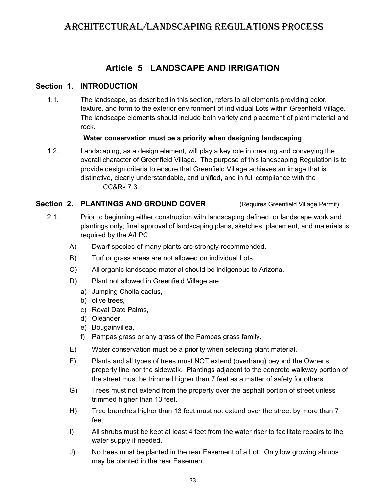### <span id="page-26-2"></span><span id="page-26-0"></span>**Article 5 LANDSCAPE AND IRRIGATION**

#### **Section 1. INTRODUCTION**

1.1. The landscape, as described in this section, refers to all elements providing color, texture, and form to the exterior environment of individual Lots within Greenfield Village. The landscape elements should include both variety and placement of plant material and rock.

#### **Water conservation must be a priority when designing landscaping**

1.2. Landscaping, as a design element, will play a key role in creating and conveying the overall character of Greenfield Village. The purpose of this landscaping Regulation is to provide design criteria to ensure that Greenfield Village achieves an image that is distinctive, clearly understandable, and unified, and in full compliance with the CC&Rs 7.3.

### **Section 2. PLANTINGS AND GROUND COVER** (Requires Greenfield Village Permit)

- <span id="page-26-1"></span>2.1. Prior to beginning either construction with landscaping defined, or landscape work and plantings only; final approval of landscaping plans, sketches, placement, and materials is required by the A/LPC.
	- A) Dwarf species of many plants are strongly recommended.
	- B) Turf or grass areas are not allowed on individual Lots.
	- C) All organic landscape material should be indigenous to Arizona.
	- D) Plant not allowed in Greenfield Village are
		- a) Jumping Cholla cactus,
		- b) olive trees,
		- c) Royal Date Palms,
		- d) Oleander,
		- e) Bougainvillea,
		- f) Pampas grass or any grass of the Pampas grass family.
	- E) Water conservation must be a priority when selecting plant material.
	- F) Plants and all types of trees must NOT extend (overhang) beyond the Owner's property line nor the sidewalk. Plantings adjacent to the concrete walkway portion of the street must be trimmed higher than 7 feet as a matter of safety for others.
	- G) Trees must not extend from the property over the asphalt portion of street unless trimmed higher than 13 feet.
	- H) Tree branches higher than 13 feet must not extend over the street by more than 7 feet.
	- I) All shrubs must be kept at least 4 feet from the water riser to facilitate repairs to the water supply if needed.
	- J) No trees must be planted in the rear Easement of a Lot. Only low growing shrubs may be planted in the rear Easement.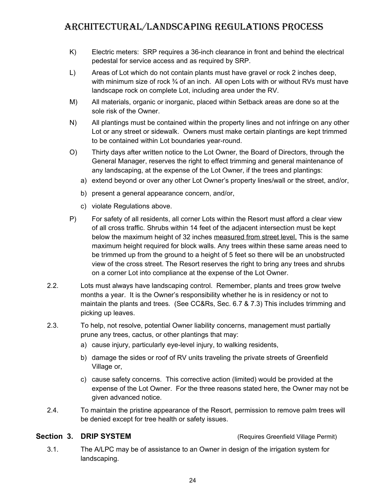- K) Electric meters: SRP requires a 36-inch clearance in front and behind the electrical pedestal for service access and as required by SRP.
- L) Areas of Lot which do not contain plants must have gravel or rock 2 inches deep, with minimum size of rock  $\frac{3}{4}$  of an inch. All open Lots with or without RVs must have landscape rock on complete Lot, including area under the RV.
- M) All materials, organic or inorganic, placed within Setback areas are done so at the sole risk of the Owner.
- N) All plantings must be contained within the property lines and not infringe on any other Lot or any street or sidewalk. Owners must make certain plantings are kept trimmed to be contained within Lot boundaries year-round.
- O) Thirty days after written notice to the Lot Owner, the Board of Directors, through the General Manager, reserves the right to effect trimming and general maintenance of any landscaping, at the expense of the Lot Owner, if the trees and plantings:
	- a) extend beyond or over any other Lot Owner's property lines/wall or the street, and/or,
	- b) present a general appearance concern, and/or,
	- c) violate Regulations above.
- P) For safety of all residents, all corner Lots within the Resort must afford a clear view of all cross traffic. Shrubs within 14 feet of the adjacent intersection must be kept below the maximum height of 32 inches measured from street level. This is the same maximum height required for block walls. Any trees within these same areas need to be trimmed up from the ground to a height of 5 feet so there will be an unobstructed view of the cross street. The Resort reserves the right to bring any trees and shrubs on a corner Lot into compliance at the expense of the Lot Owner.
- 2.2. Lots must always have landscaping control. Remember, plants and trees grow twelve months a year. It is the Owner's responsibility whether he is in residency or not to maintain the plants and trees. (See CC&Rs, Sec. 6.7 & 7.3) This includes trimming and picking up leaves.
- 2.3. To help, not resolve, potential Owner liability concerns, management must partially prune any trees, cactus, or other plantings that may:
	- a) cause injury, particularly eye-level injury, to walking residents,
	- b) damage the sides or roof of RV units traveling the private streets of Greenfield Village or,
	- c) cause safety concerns. This corrective action (limited) would be provided at the expense of the Lot Owner. For the three reasons stated here, the Owner may not be given advanced notice.
- 2.4. To maintain the pristine appearance of the Resort, permission to remove palm trees will be denied except for tree health or safety issues.

#### **Section 3. DRIP SYSTEM Section 3. DRIP SYSTEM CONSERVING A CONSERVING (Requires Greenfield Village Permit)**

<span id="page-27-0"></span>3.1. The A/LPC may be of assistance to an Owner in design of the irrigation system for landscaping.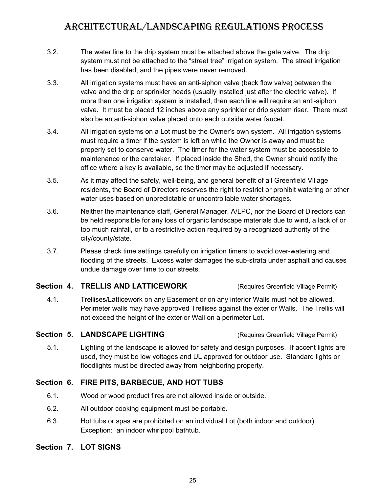- 3.2. The water line to the drip system must be attached above the gate valve. The drip system must not be attached to the "street tree" irrigation system. The street irrigation has been disabled, and the pipes were never removed.
- 3.3. All irrigation systems must have an anti-siphon valve (back flow valve) between the valve and the drip or sprinkler heads (usually installed just after the electric valve). If more than one irrigation system is installed, then each line will require an anti-siphon valve. It must be placed 12 inches above any sprinkler or drip system riser. There must also be an anti-siphon valve placed onto each outside water faucet.
- 3.4. All irrigation systems on a Lot must be the Owner's own system. All irrigation systems must require a timer if the system is left on while the Owner is away and must be properly set to conserve water. The timer for the water system must be accessible to maintenance or the caretaker. If placed inside the Shed, the Owner should notify the office where a key is available, so the timer may be adjusted if necessary.
- 3.5. As it may affect the safety, well-being, and general benefit of all Greenfield Village residents, the Board of Directors reserves the right to restrict or prohibit watering or other water uses based on unpredictable or uncontrollable water shortages.
- 3.6. Neither the maintenance staff, General Manager, A/LPC, nor the Board of Directors can be held responsible for any loss of organic landscape materials due to wind, a lack of or too much rainfall, or to a restrictive action required by a recognized authority of the city/county/state.
- 3.7. Please check time settings carefully on irrigation timers to avoid over-watering and flooding of the streets. Excess water damages the sub-strata under asphalt and causes undue damage over time to our streets.

#### **Section 4. TRELLIS AND LATTICEWORK** (Requires Greenfield Village Permit)

<span id="page-28-3"></span>4.1. Trellises/Latticework on any Easement or on any interior Walls must not be allowed. Perimeter walls may have approved Trellises against the exterior Walls. The Trellis will not exceed the height of the exterior Wall on a perimeter Lot.

#### **Section 5. LANDSCAPE LIGHTING** (Requires Greenfield Village Permit)

<span id="page-28-2"></span>5.1. Lighting of the landscape is allowed for safety and design purposes. If accent lights are used, they must be low voltages and UL approved for outdoor use. Standard lights or floodlights must be directed away from neighboring property.

### **Section 6. FIRE PITS, BARBECUE, AND HOT TUBS**

- <span id="page-28-1"></span>6.1. Wood or wood product fires are not allowed inside or outside.
- 6.2. All outdoor cooking equipment must be portable.
- <span id="page-28-0"></span>6.3. Hot tubs or spas are prohibited on an individual Lot (both indoor and outdoor). Exception: an indoor whirlpool bathtub.

### **Section 7. LOT SIGNS**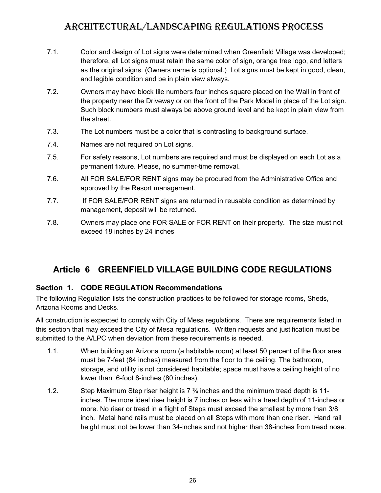- 7.1. Color and design of Lot signs were determined when Greenfield Village was developed; therefore, all Lot signs must retain the same color of sign, orange tree logo, and letters as the original signs. (Owners name is optional.) Lot signs must be kept in good, clean, and legible condition and be in plain view always.
- 7.2. Owners may have block tile numbers four inches square placed on the Wall in front of the property near the Driveway or on the front of the Park Model in place of the Lot sign. Such block numbers must always be above ground level and be kept in plain view from the street.
- 7.3. The Lot numbers must be a color that is contrasting to background surface.
- 7.4. Names are not required on Lot signs.
- 7.5. For safety reasons, Lot numbers are required and must be displayed on each Lot as a permanent fixture. Please, no summer-time removal.
- 7.6. All FOR SALE/FOR RENT signs may be procured from the Administrative Office and approved by the Resort management.
- 7.7. If FOR SALE/FOR RENT signs are returned in reusable condition as determined by management, deposit will be returned.
- 7.8. Owners may place one FOR SALE or FOR RENT on their property. The size must not exceed 18 inches by 24 inches

### <span id="page-29-1"></span><span id="page-29-0"></span>**Article 6 GREENFIELD VILLAGE BUILDING CODE REGULATIONS**

### **Section 1. CODE REGULATION Recommendations**

The following Regulation lists the construction practices to be followed for storage rooms, Sheds, Arizona Rooms and Decks.

All construction is expected to comply with City of Mesa regulations. There are requirements listed in this section that may exceed the City of Mesa regulations. Written requests and justification must be submitted to the A/LPC when deviation from these requirements is needed.

- 1.1. When building an Arizona room (a habitable room) at least 50 percent of the floor area must be 7-feet (84 inches) measured from the floor to the ceiling. The bathroom, storage, and utility is not considered habitable; space must have a ceiling height of no lower than 6-foot 8-inches (80 inches).
- 1.2. Step Maximum Step riser height is 7 ¾ inches and the minimum tread depth is 11 inches. The more ideal riser height is 7 inches or less with a tread depth of 11-inches or more. No riser or tread in a flight of Steps must exceed the smallest by more than 3/8 inch. Metal hand rails must be placed on all Steps with more than one riser. Hand rail height must not be lower than 34-inches and not higher than 38-inches from tread nose.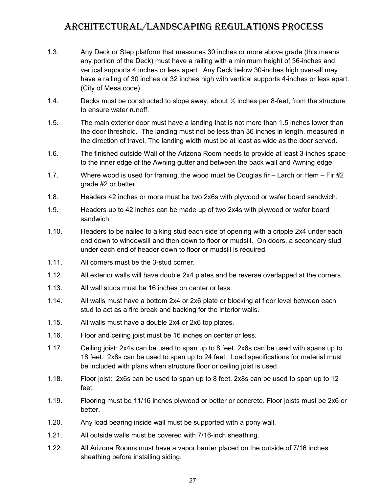- 1.3. Any Deck or Step platform that measures 30 inches or more above grade (this means any portion of the Deck) must have a railing with a minimum height of 36-inches and vertical supports 4 inches or less apart. Any Deck below 30-inches high over-all may have a railing of 30 inches or 32 inches high with vertical supports 4-inches or less apart. (City of Mesa code)
- 1.4. Decks must be constructed to slope away, about ½ inches per 8-feet, from the structure to ensure water runoff.
- 1.5. The main exterior door must have a landing that is not more than 1.5 inches lower than the door threshold. The landing must not be less than 36 inches in length, measured in the direction of travel. The landing width must be at least as wide as the door served.
- 1.6. The finished outside Wall of the Arizona Room needs to provide at least 3-inches space to the inner edge of the Awning gutter and between the back wall and Awning edge.
- 1.7. Where wood is used for framing, the wood must be Douglas fir Larch or Hem Fir #2 grade #2 or better.
- 1.8. Headers 42 inches or more must be two 2x6s with plywood or wafer board sandwich.
- 1.9. Headers up to 42 inches can be made up of two 2x4s with plywood or wafer board sandwich.
- 1.10. Headers to be nailed to a king stud each side of opening with a cripple 2x4 under each end down to windowsill and then down to floor or mudsill. On doors, a secondary stud under each end of header down to floor or mudsill is required.
- 1.11. All corners must be the 3-stud corner.
- 1.12. All exterior walls will have double 2x4 plates and be reverse overlapped at the corners.
- 1.13. All wall studs must be 16 inches on center or less.
- 1.14. All walls must have a bottom 2x4 or 2x6 plate or blocking at floor level between each stud to act as a fire break and backing for the interior walls.
- 1.15. All walls must have a double 2x4 or 2x6 top plates.
- 1.16. Floor and ceiling joist must be 16 inches on center or less.
- 1.17. Ceiling joist: 2x4s can be used to span up to 8 feet. 2x6s can be used with spans up to 18 feet. 2x8s can be used to span up to 24 feet. Load specifications for material must be included with plans when structure floor or ceiling joist is used.
- 1.18. Floor joist: 2x6s can be used to span up to 8 feet. 2x8s can be used to span up to 12 feet.
- 1.19. Flooring must be 11/16 inches plywood or better or concrete. Floor joists must be 2x6 or better.
- 1.20. Any load bearing inside wall must be supported with a pony wall.
- 1.21. All outside walls must be covered with 7/16-inch sheathing.
- 1.22. All Arizona Rooms must have a vapor barrier placed on the outside of 7/16 inches sheathing before installing siding.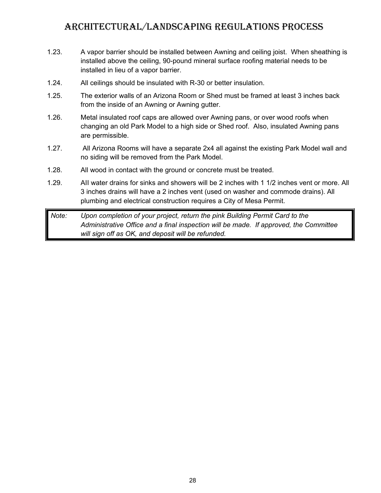- 1.23. A vapor barrier should be installed between Awning and ceiling joist. When sheathing is installed above the ceiling, 90-pound mineral surface roofing material needs to be installed in lieu of a vapor barrier.
- 1.24. All ceilings should be insulated with R-30 or better insulation.
- 1.25. The exterior walls of an Arizona Room or Shed must be framed at least 3 inches back from the inside of an Awning or Awning gutter.
- 1.26. Metal insulated roof caps are allowed over Awning pans, or over wood roofs when changing an old Park Model to a high side or Shed roof. Also, insulated Awning pans are permissible.
- 1.27. All Arizona Rooms will have a separate 2x4 all against the existing Park Model wall and no siding will be removed from the Park Model.
- 1.28. All wood in contact with the ground or concrete must be treated.
- 1.29. AII water drains for sinks and showers will be 2 inches with 1 1/2 inches vent or more. All 3 inches drains will have a 2 inches vent (used on washer and commode drains). All plumbing and electrical construction requires a City of Mesa Permit.

*Note: Upon completion of your project, return the pink Building Permit Card to the Administrative Office and a final inspection will be made. If approved, the Committee will sign off as OK, and deposit will be refunded.*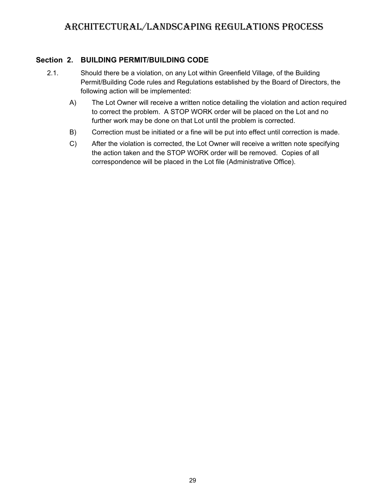#### **Section 2. BUILDING PERMIT/BUILDING CODE**

- <span id="page-32-0"></span>2.1. Should there be a violation, on any Lot within Greenfield Village, of the Building Permit/Building Code rules and Regulations established by the Board of Directors, the following action will be implemented:
	- A) The Lot Owner will receive a written notice detailing the violation and action required to correct the problem. A STOP WORK order will be placed on the Lot and no further work may be done on that Lot until the problem is corrected.
	- B) Correction must be initiated or a fine will be put into effect until correction is made.
	- C) After the violation is corrected, the Lot Owner will receive a written note specifying the action taken and the STOP WORK order will be removed. Copies of all correspondence will be placed in the Lot file (Administrative Office).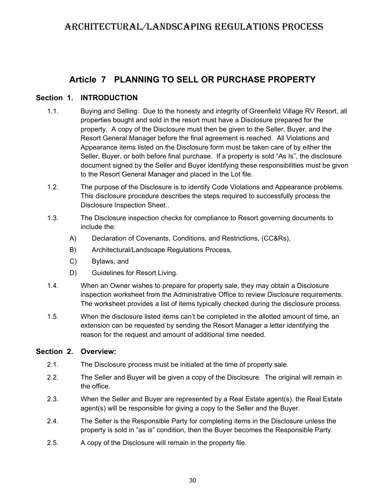### <span id="page-33-2"></span><span id="page-33-1"></span>**Article 7 PLANNING TO SELL OR PURCHASE PROPERTY**

#### **Section 1. INTRODUCTION**

- 1.1. Buying and Selling: Due to the honesty and integrity of Greenfield Village RV Resort, all properties bought and sold in the resort must have a Disclosure prepared for the property. A copy of the Disclosure must then be given to the Seller, Buyer, and the Resort General Manager before the final agreement is reached. All Violations and Appearance items listed on the Disclosure form must be taken care of by either the Seller, Buyer, or both before final purchase. If a property is sold "As Is", the disclosure document signed by the Seller and Buyer identifying these responsibilities must be given to the Resort General Manager and placed in the Lot file.
- 1.2. The purpose of the Disclosure is to identify Code Violations and Appearance problems. This disclosure procedure describes the steps required to successfully process the Disclosure Inspection Sheet..
- 1.3. The Disclosure inspection checks for compliance to Resort governing documents to include the:
	- A) Declaration of Covenants, Conditions, and Restrictions, (CC&Rs),
	- B) Architectural/Landscape Regulations Process,
	- C) Bylaws, and
	- D) Guidelines for Resort Living.
- 1.4. When an Owner wishes to prepare for property sale, they may obtain a Disclosure inspection worksheet from the Administrative Office to review Disclosure requirements. The worksheet provides a list of items typically checked during the disclosure process.
- 1.5. When the disclosure listed items can't be completed in the allotted amount of time, an extension can be requested by sending the Resort Manager a letter identifying the reason for the request and amount of additional time needed.

#### **Section 2. Overview:**

- <span id="page-33-0"></span>2.1. The Disclosure process must be initiated at the time of property sale.
- 2.2. The Seller and Buyer will be given a copy of the Disclosure. The original will remain in the office.
- 2.3. When the Seller and Buyer are represented by a Real Estate agent(s), the Real Estate agent(s) will be responsible for giving a copy to the Seller and the Buyer.
- 2.4. The Seller is the Responsible Party for completing items in the Disclosure unless the property is sold in "as is" condition, then the Buyer becomes the Responsible Party.
- 2.5. A copy of the Disclosure will remain in the property file.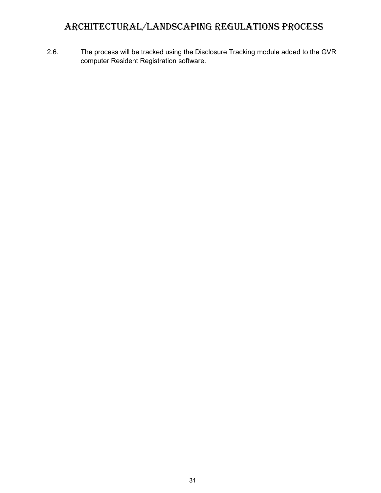2.6. The process will be tracked using the Disclosure Tracking module added to the GVR computer Resident Registration software.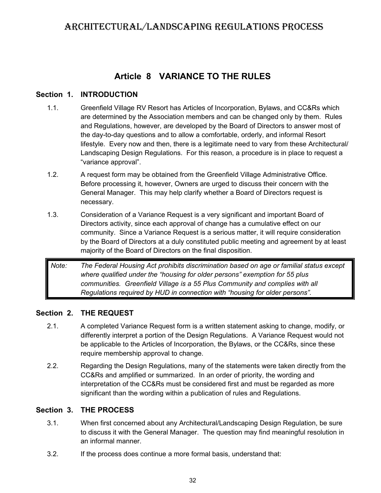### <span id="page-35-3"></span>**Article 8 VARIANCE TO THE RULES**

#### **Section 1. INTRODUCTION**

- <span id="page-35-2"></span>1.1. Greenfield Village RV Resort has Articles of Incorporation, Bylaws, and CC&Rs which are determined by the Association members and can be changed only by them. Rules and Regulations, however, are developed by the Board of Directors to answer most of the day-to-day questions and to allow a comfortable, orderly, and informal Resort lifestyle. Every now and then, there is a legitimate need to vary from these Architectural/ Landscaping Design Regulations. For this reason, a procedure is in place to request a "variance approval".
- 1.2. A request form may be obtained from the Greenfield Village Administrative Office. Before processing it, however, Owners are urged to discuss their concern with the General Manager. This may help clarify whether a Board of Directors request is necessary.
- 1.3. Consideration of a Variance Request is a very significant and important Board of Directors activity, since each approval of change has a cumulative effect on our community. Since a Variance Request is a serious matter, it will require consideration by the Board of Directors at a duly constituted public meeting and agreement by at least majority of the Board of Directors on the final disposition.

*Note: The Federal Housing Act prohibits discrimination based on age or familial status except where qualified under the "housing for older persons" exemption for 55 plus communities. Greenfield Village is a 55 Plus Community and complies with all Regulations required by HUD in connection with "housing for older persons".*

#### **Section 2. THE REQUEST**

- <span id="page-35-0"></span>2.1. A completed Variance Request form is a written statement asking to change, modify, or differently interpret a portion of the Design Regulations. A Variance Request would not be applicable to the Articles of Incorporation, the Bylaws, or the CC&Rs, since these require membership approval to change.
- 2.2. Regarding the Design Regulations, many of the statements were taken directly from the CC&Rs and amplified or summarized. In an order of priority, the wording and interpretation of the CC&Rs must be considered first and must be regarded as more significant than the wording within a publication of rules and Regulations.

### **Section 3. THE PROCESS**

- <span id="page-35-1"></span>3.1. When first concerned about any Architectural/Landscaping Design Regulation, be sure to discuss it with the General Manager. The question may find meaningful resolution in an informal manner.
- 3.2. If the process does continue a more formal basis, understand that: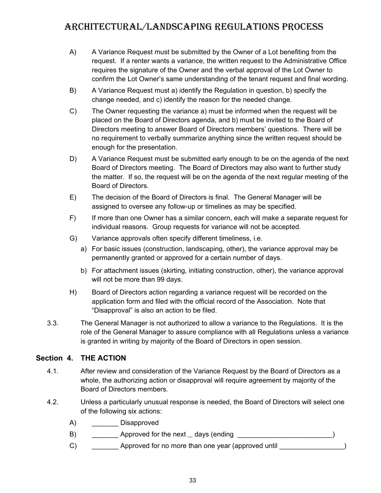- A) A Variance Request must be submitted by the Owner of a Lot benefiting from the request. If a renter wants a variance, the written request to the Administrative Office requires the signature of the Owner and the verbal approval of the Lot Owner to confirm the Lot Owner's same understanding of the tenant request and final wording.
- B) A Variance Request must a) identify the Regulation in question, b) specify the change needed, and c) identify the reason for the needed change.
- C) The Owner requesting the variance a) must be informed when the request will be placed on the Board of Directors agenda, and b) must be invited to the Board of Directors meeting to answer Board of Directors members' questions. There will be no requirement to verbally summarize anything since the written request should be enough for the presentation.
- D) A Variance Request must be submitted early enough to be on the agenda of the next Board of Directors meeting. The Board of Directors may also want to further study the matter. If so, the request will be on the agenda of the next regular meeting of the Board of Directors.
- E) The decision of the Board of Directors is final. The General Manager will be assigned to oversee any follow-up or timelines as may be specified.
- F) If more than one Owner has a similar concern, each will make a separate request for individual reasons. Group requests for variance will not be accepted.
- G) Variance approvals often specify different timeliness, i.e.
	- a) For basic issues (construction, landscaping, other), the variance approval may be permanently granted or approved for a certain number of days.
	- b) For attachment issues (skirting, initiating construction, other), the variance approval will not be more than 99 days.
- H) Board of Directors action regarding a variance request will be recorded on the application form and filed with the official record of the Association. Note that "Disapproval" is also an action to be filed.
- 3.3. The General Manager is not authorized to allow a variance to the Regulations. It is the role of the General Manager to assure compliance with all Regulations unless a variance is granted in writing by majority of the Board of Directors in open session.

### **Section 4. THE ACTION**

- <span id="page-36-0"></span>4.1. After review and consideration of the Variance Request by the Board of Directors as a whole, the authorizing action or disapproval will require agreement by majority of the Board of Directors members.
- 4.2. Unless a particularly unusual response is needed, the Board of Directors will select one of the following six actions:
	- A) \_\_\_\_\_\_\_\_ Disapproved
	- B) \_\_\_\_\_\_\_ Approved for the next days (ending \_\_\_\_\_\_\_\_\_\_\_\_\_\_\_\_\_\_\_\_\_\_\_\_\_)
	- C) \_\_\_\_\_\_\_\_\_\_\_ Approved for no more than one year (approved until \_\_\_\_\_\_\_\_\_\_\_\_\_\_